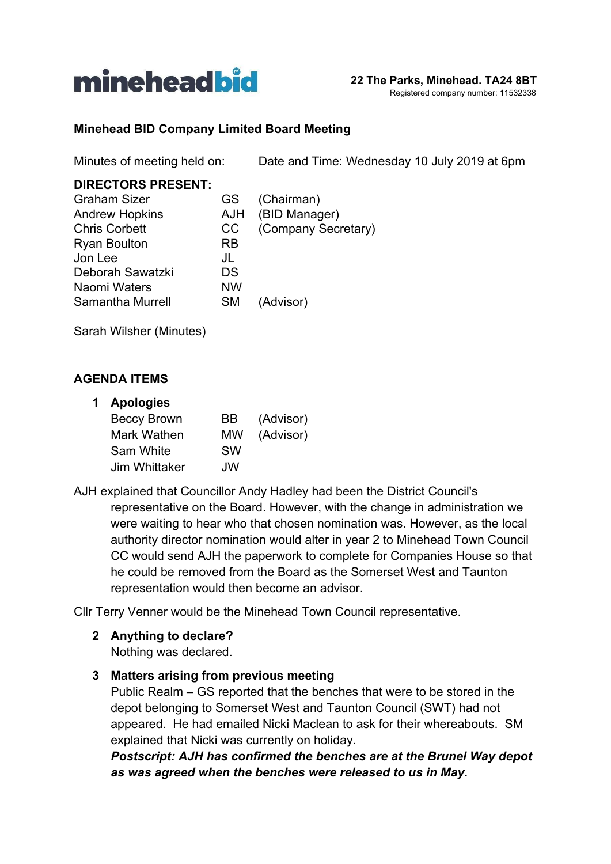

#### **Minehead BID Company Limited Board Meeting**

Minutes of meeting held on: Date and Time: Wednesday 10 July 2019 at 6pm

#### **DIRECTORS PRESENT:**

| <b>Graham Sizer</b>   | GS.        | (Chairman)          |
|-----------------------|------------|---------------------|
| <b>Andrew Hopkins</b> | <b>AJH</b> | (BID Manager)       |
| <b>Chris Corbett</b>  | CC         | (Company Secretary) |
| <b>Ryan Boulton</b>   | RB         |                     |
| Jon Lee               | JL         |                     |
| Deborah Sawatzki      | DS         |                     |
| Naomi Waters          | <b>NW</b>  |                     |
| Samantha Murrell      | <b>SM</b>  | (Advisor)           |
|                       |            |                     |

Sarah Wilsher (Minutes)

#### **AGENDA ITEMS**

#### **1 Apologies**

| <b>Beccy Brown</b> | BB        | (Advisor) |
|--------------------|-----------|-----------|
| Mark Wathen        | MW        | (Advisor) |
| Sam White          | <b>SW</b> |           |
| Jim Whittaker      | JW        |           |

AJH explained that Councillor Andy Hadley had been the District Council's representative on the Board. However, with the change in administration we were waiting to hear who that chosen nomination was. However, as the local authority director nomination would alter in year 2 to Minehead Town Council CC would send AJH the paperwork to complete for Companies House so that he could be removed from the Board as the Somerset West and Taunton representation would then become an advisor.

Cllr Terry Venner would be the Minehead Town Council representative.

**2 Anything to declare?**

Nothing was declared.

**3 Matters arising from previous meeting**

Public Realm – GS reported that the benches that were to be stored in the depot belonging to Somerset West and Taunton Council (SWT) had not appeared. He had emailed Nicki Maclean to ask for their whereabouts. SM explained that Nicki was currently on holiday.

*Postscript: AJH has confirmed the benches are at the Brunel Way depot as was agreed when the benches were released to us in May.*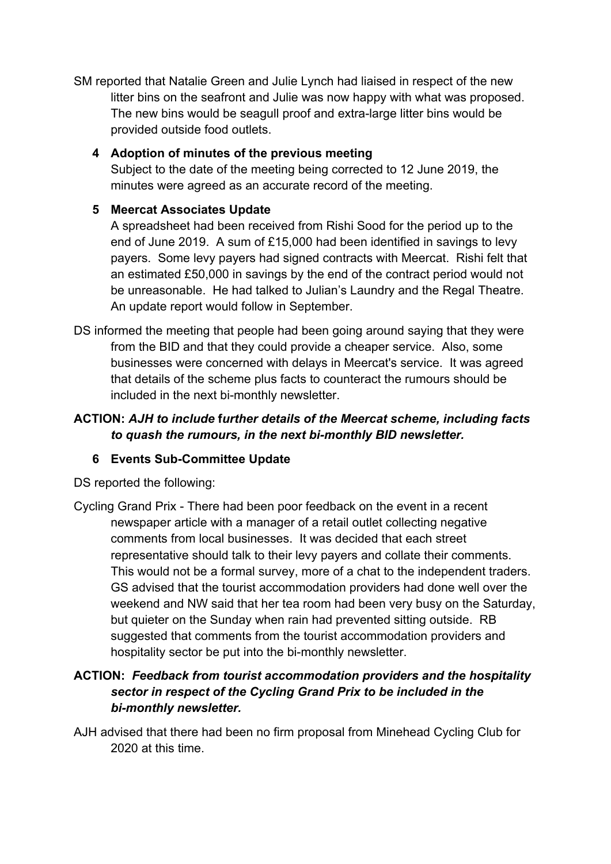SM reported that Natalie Green and Julie Lynch had liaised in respect of the new litter bins on the seafront and Julie was now happy with what was proposed. The new bins would be seagull proof and extra-large litter bins would be provided outside food outlets.

### **4 Adoption of minutes of the previous meeting**

Subject to the date of the meeting being corrected to 12 June 2019, the minutes were agreed as an accurate record of the meeting.

### **5 Meercat Associates Update**

A spreadsheet had been received from Rishi Sood for the period up to the end of June 2019. A sum of £15,000 had been identified in savings to levy payers. Some levy payers had signed contracts with Meercat. Rishi felt that an estimated £50,000 in savings by the end of the contract period would not be unreasonable. He had talked to Julian's Laundry and the Regal Theatre. An update report would follow in September.

DS informed the meeting that people had been going around saying that they were from the BID and that they could provide a cheaper service. Also, some businesses were concerned with delays in Meercat's service. It was agreed that details of the scheme plus facts to counteract the rumours should be included in the next bi-monthly newsletter.

# **ACTION:** *AJH to include* **f***urther details of the Meercat scheme, including facts to quash the rumours, in the next bi-monthly BID newsletter.*

# **6 Events Sub-Committee Update**

DS reported the following:

Cycling Grand Prix - There had been poor feedback on the event in a recent newspaper article with a manager of a retail outlet collecting negative comments from local businesses. It was decided that each street representative should talk to their levy payers and collate their comments. This would not be a formal survey, more of a chat to the independent traders. GS advised that the tourist accommodation providers had done well over the weekend and NW said that her tea room had been very busy on the Saturday, but quieter on the Sunday when rain had prevented sitting outside. RB suggested that comments from the tourist accommodation providers and hospitality sector be put into the bi-monthly newsletter.

# **ACTION:** *Feedback from tourist accommodation providers and the hospitality sector in respect of the Cycling Grand Prix to be included in the bi-monthly newsletter.*

AJH advised that there had been no firm proposal from Minehead Cycling Club for 2020 at this time.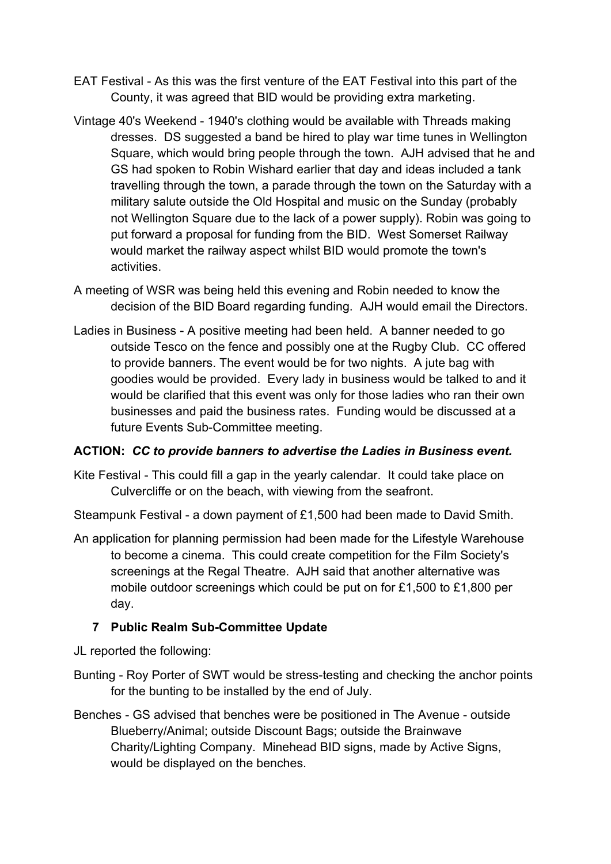- EAT Festival As this was the first venture of the EAT Festival into this part of the County, it was agreed that BID would be providing extra marketing.
- Vintage 40's Weekend 1940's clothing would be available with Threads making dresses. DS suggested a band be hired to play war time tunes in Wellington Square, which would bring people through the town. AJH advised that he and GS had spoken to Robin Wishard earlier that day and ideas included a tank travelling through the town, a parade through the town on the Saturday with a military salute outside the Old Hospital and music on the Sunday (probably not Wellington Square due to the lack of a power supply). Robin was going to put forward a proposal for funding from the BID. West Somerset Railway would market the railway aspect whilst BID would promote the town's activities.
- A meeting of WSR was being held this evening and Robin needed to know the decision of the BID Board regarding funding. AJH would email the Directors.
- Ladies in Business A positive meeting had been held. A banner needed to go outside Tesco on the fence and possibly one at the Rugby Club. CC offered to provide banners. The event would be for two nights. A jute bag with goodies would be provided. Every lady in business would be talked to and it would be clarified that this event was only for those ladies who ran their own businesses and paid the business rates. Funding would be discussed at a future Events Sub-Committee meeting.

### **ACTION:** *CC to provide banners to advertise the Ladies in Business event.*

Kite Festival - This could fill a gap in the yearly calendar. It could take place on Culvercliffe or on the beach, with viewing from the seafront.

Steampunk Festival - a down payment of £1,500 had been made to David Smith.

An application for planning permission had been made for the Lifestyle Warehouse to become a cinema. This could create competition for the Film Society's screenings at the Regal Theatre. AJH said that another alternative was mobile outdoor screenings which could be put on for £1,500 to £1,800 per day.

### **7 Public Realm Sub-Committee Update**

JL reported the following:

- Bunting Roy Porter of SWT would be stress-testing and checking the anchor points for the bunting to be installed by the end of July.
- Benches GS advised that benches were be positioned in The Avenue outside Blueberry/Animal; outside Discount Bags; outside the Brainwave Charity/Lighting Company. Minehead BID signs, made by Active Signs, would be displayed on the benches.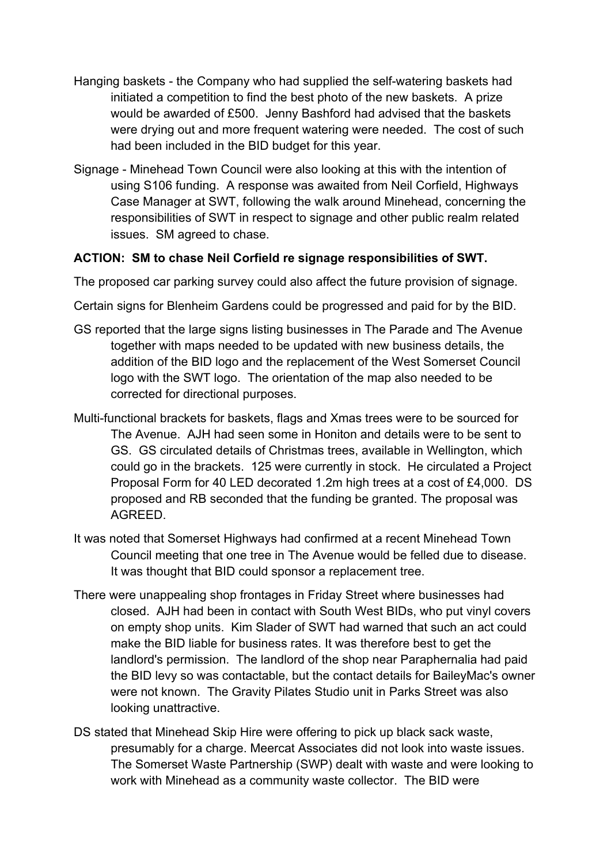- Hanging baskets the Company who had supplied the self-watering baskets had initiated a competition to find the best photo of the new baskets. A prize would be awarded of £500. Jenny Bashford had advised that the baskets were drying out and more frequent watering were needed. The cost of such had been included in the BID budget for this year.
- Signage Minehead Town Council were also looking at this with the intention of using S106 funding. A response was awaited from Neil Corfield, Highways Case Manager at SWT, following the walk around Minehead, concerning the responsibilities of SWT in respect to signage and other public realm related issues. SM agreed to chase.

#### **ACTION: SM to chase Neil Corfield re signage responsibilities of SWT.**

The proposed car parking survey could also affect the future provision of signage.

Certain signs for Blenheim Gardens could be progressed and paid for by the BID.

- GS reported that the large signs listing businesses in The Parade and The Avenue together with maps needed to be updated with new business details, the addition of the BID logo and the replacement of the West Somerset Council logo with the SWT logo. The orientation of the map also needed to be corrected for directional purposes.
- Multi-functional brackets for baskets, flags and Xmas trees were to be sourced for The Avenue. AJH had seen some in Honiton and details were to be sent to GS. GS circulated details of Christmas trees, available in Wellington, which could go in the brackets. 125 were currently in stock. He circulated a Project Proposal Form for 40 LED decorated 1.2m high trees at a cost of £4,000. DS proposed and RB seconded that the funding be granted. The proposal was AGREED.
- It was noted that Somerset Highways had confirmed at a recent Minehead Town Council meeting that one tree in The Avenue would be felled due to disease. It was thought that BID could sponsor a replacement tree.
- There were unappealing shop frontages in Friday Street where businesses had closed. AJH had been in contact with South West BIDs, who put vinyl covers on empty shop units. Kim Slader of SWT had warned that such an act could make the BID liable for business rates. It was therefore best to get the landlord's permission. The landlord of the shop near Paraphernalia had paid the BID levy so was contactable, but the contact details for BaileyMac's owner were not known. The Gravity Pilates Studio unit in Parks Street was also looking unattractive.
- DS stated that Minehead Skip Hire were offering to pick up black sack waste, presumably for a charge. Meercat Associates did not look into waste issues. The Somerset Waste Partnership (SWP) dealt with waste and were looking to work with Minehead as a community waste collector. The BID were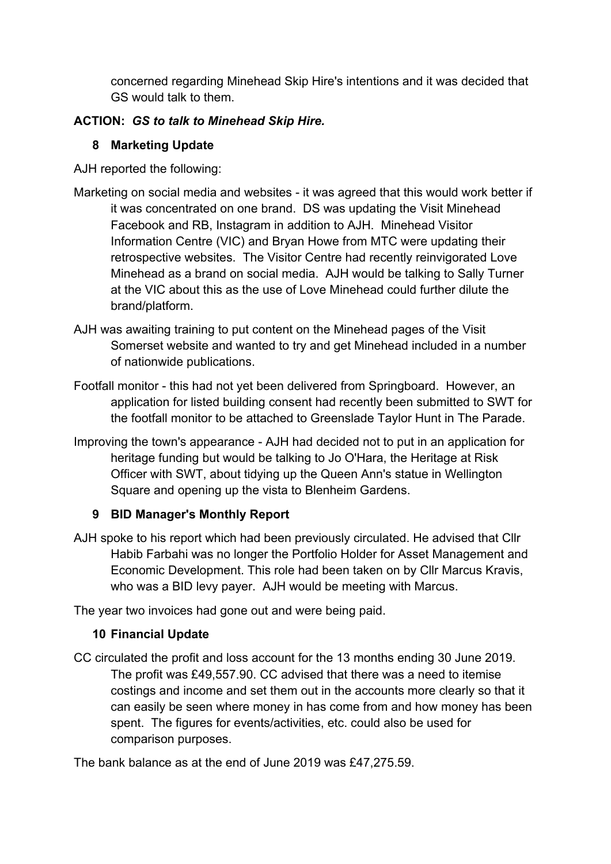concerned regarding Minehead Skip Hire's intentions and it was decided that GS would talk to them.

### **ACTION:** *GS to talk to Minehead Skip Hire.*

### **8 Marketing Update**

AJH reported the following:

- Marketing on social media and websites it was agreed that this would work better if it was concentrated on one brand. DS was updating the Visit Minehead Facebook and RB, Instagram in addition to AJH. Minehead Visitor Information Centre (VIC) and Bryan Howe from MTC were updating their retrospective websites. The Visitor Centre had recently reinvigorated Love Minehead as a brand on social media. AJH would be talking to Sally Turner at the VIC about this as the use of Love Minehead could further dilute the brand/platform.
- AJH was awaiting training to put content on the Minehead pages of the Visit Somerset website and wanted to try and get Minehead included in a number of nationwide publications.
- Footfall monitor this had not yet been delivered from Springboard. However, an application for listed building consent had recently been submitted to SWT for the footfall monitor to be attached to Greenslade Taylor Hunt in The Parade.
- Improving the town's appearance AJH had decided not to put in an application for heritage funding but would be talking to Jo O'Hara, the Heritage at Risk Officer with SWT, about tidying up the Queen Ann's statue in Wellington Square and opening up the vista to Blenheim Gardens.

# **9 BID Manager's Monthly Report**

AJH spoke to his report which had been previously circulated. He advised that Cllr Habib Farbahi was no longer the Portfolio Holder for Asset Management and Economic Development. This role had been taken on by Cllr Marcus Kravis, who was a BID levy payer. AJH would be meeting with Marcus.

The year two invoices had gone out and were being paid.

# **10 Financial Update**

CC circulated the profit and loss account for the 13 months ending 30 June 2019. The profit was £49,557.90. CC advised that there was a need to itemise costings and income and set them out in the accounts more clearly so that it can easily be seen where money in has come from and how money has been spent. The figures for events/activities, etc. could also be used for comparison purposes.

The bank balance as at the end of June 2019 was £47,275.59.